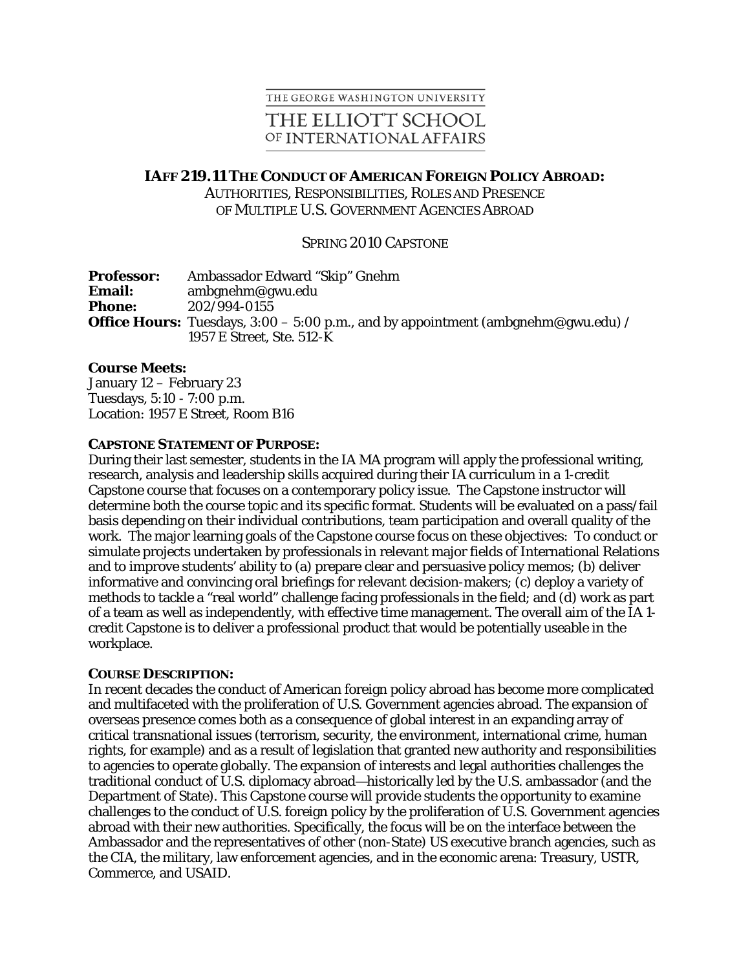## THE GEORGE WASHINGTON UNIVERSITY

# THE ELLIOTT SCHOOL OF INTERNATIONAL AFFAIRS

## **IAFF 219.11 THE CONDUCT OF AMERICAN FOREIGN POLICY ABROAD:**

AUTHORITIES, RESPONSIBILITIES, ROLES AND PRESENCE OF MULTIPLE U.S. GOVERNMENT AGENCIES ABROAD

## SPRING 2010 CAPSTONE

| <b>Professor:</b> | Ambassador Edward "Skip" Gnehm                                                           |
|-------------------|------------------------------------------------------------------------------------------|
| <b>Email:</b>     | $ambg$ nehm@gwu.edu                                                                      |
| <b>Phone:</b>     | 202/994-0155                                                                             |
|                   | <b>Office Hours:</b> Tuesdays, $3:00-5:00$ p.m., and by appointment (ambgnehm@gwu.edu) / |
|                   | 1957 E Street, Ste. 512-K                                                                |

### **Course Meets:**

January 12 – February 23 Tuesdays, 5:10 - 7:00 p.m. Location: 1957 E Street, Room B16

#### **CAPSTONE STATEMENT OF PURPOSE:**

During their last semester, students in the IA MA program will apply the professional writing, research, analysis and leadership skills acquired during their IA curriculum in a 1-credit Capstone course that focuses on a contemporary policy issue. The Capstone instructor will determine both the course topic and its specific format. Students will be evaluated on a pass/fail basis depending on their individual contributions, team participation and overall quality of the work. The major learning goals of the Capstone course focus on these objectives: To conduct or simulate projects undertaken by professionals in relevant major fields of International Relations and to improve students' ability to (a) prepare clear and persuasive policy memos; (b) deliver informative and convincing oral briefings for relevant decision-makers; (c) deploy a variety of methods to tackle a "real world" challenge facing professionals in the field; and (d) work as part of a team as well as independently, with effective time management. The overall aim of the IA 1 credit Capstone is to deliver a professional product that would be potentially useable in the workplace.

#### **COURSE DESCRIPTION:**

In recent decades the conduct of American foreign policy abroad has become more complicated and multifaceted with the proliferation of U.S. Government agencies abroad. The expansion of overseas presence comes both as a consequence of global interest in an expanding array of critical transnational issues (terrorism, security, the environment, international crime, human rights, for example) and as a result of legislation that granted new authority and responsibilities to agencies to operate globally. The expansion of interests and legal authorities challenges the traditional conduct of U.S. diplomacy abroad—historically led by the U.S. ambassador (and the Department of State). This Capstone course will provide students the opportunity to examine challenges to the conduct of U.S. foreign policy by the proliferation of U.S. Government agencies abroad with their new authorities. Specifically, the focus will be on the interface between the Ambassador and the representatives of other (non-State) US executive branch agencies, such as the CIA, the military, law enforcement agencies, and in the economic arena: Treasury, USTR, Commerce, and USAID.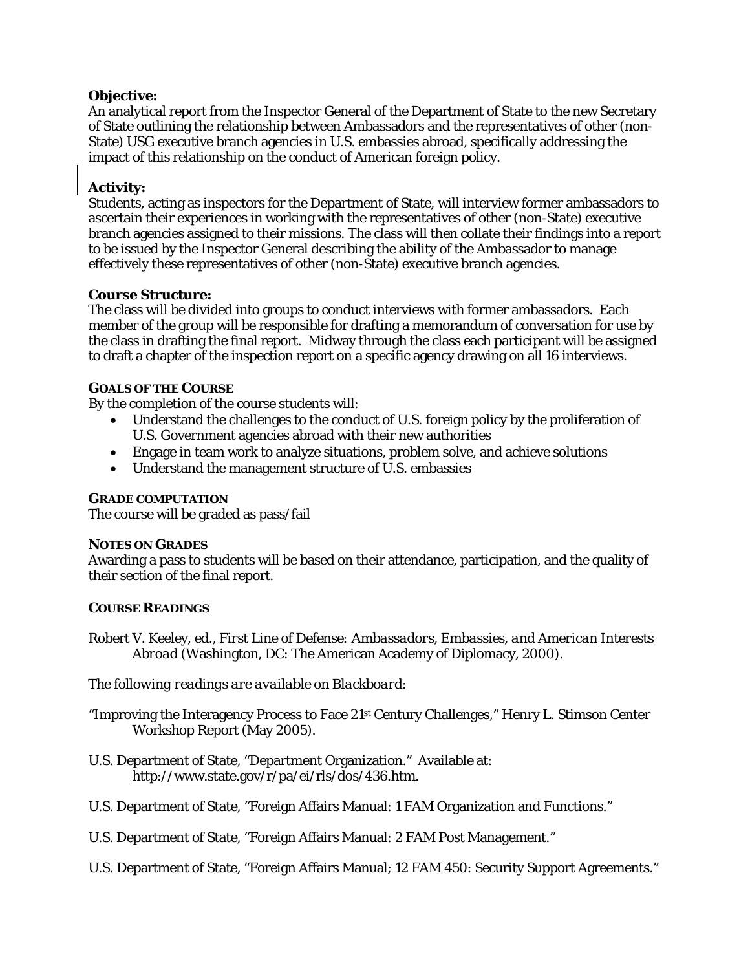## **Objective:**

An analytical report from the Inspector General of the Department of State to the new Secretary of State outlining the relationship between Ambassadors and the representatives of other (non-State) USG executive branch agencies in U.S. embassies abroad, specifically addressing the impact of this relationship on the conduct of American foreign policy.

## **Activity:**

Students, acting as inspectors for the Department of State, will interview former ambassadors to ascertain their experiences in working with the representatives of other (non-State) executive branch agencies assigned to their missions. The class will then collate their findings into a report to be issued by the Inspector General describing the ability of the Ambassador to manage effectively these representatives of other (non-State) executive branch agencies.

## **Course Structure:**

The class will be divided into groups to conduct interviews with former ambassadors. Each member of the group will be responsible for drafting a memorandum of conversation for use by the class in drafting the final report. Midway through the class each participant will be assigned to draft a chapter of the inspection report on a specific agency drawing on all 16 interviews.

## **GOALS OF THE COURSE**

By the completion of the course students will:

- Understand the challenges to the conduct of U.S. foreign policy by the proliferation of U.S. Government agencies abroad with their new authorities
- Engage in team work to analyze situations, problem solve, and achieve solutions
- Understand the management structure of U.S. embassies

## **GRADE COMPUTATION**

The course will be graded as pass/fail

## **NOTES ON GRADES**

Awarding a pass to students will be based on their attendance, participation, and the quality of their section of the final report.

## **COURSE READINGS**

Robert V. Keeley, ed., *First Line of Defense: Ambassadors, Embassies, and American Interests Abroad* (Washington, DC: The American Academy of Diplomacy, 2000).

*The following readings are available on Blackboard:* 

"Improving the Interagency Process to Face 21st Century Challenges," Henry L. Stimson Center Workshop Report (May 2005).

- U.S. Department of State, "Department Organization." Available at: http://www.state.gov/r/pa/ei/rls/dos/436.htm.
- U.S. Department of State, "Foreign Affairs Manual: 1 FAM Organization and Functions."
- U.S. Department of State, "Foreign Affairs Manual: 2 FAM Post Management."
- U.S. Department of State, "Foreign Affairs Manual; 12 FAM 450: Security Support Agreements."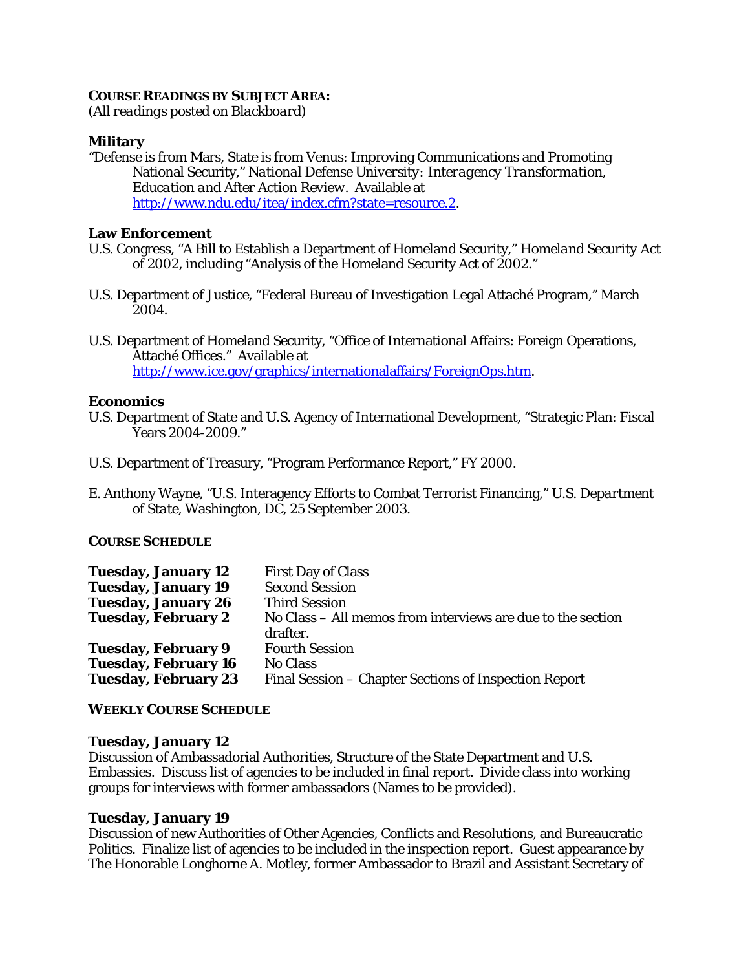#### **COURSE READINGS BY SUBJECT AREA:**

*(All readings posted on Blackboard)* 

### **Military**

"Defense is from Mars, State is from Venus: Improving Communications and Promoting National Security," *National Defense University: Interagency Transformation, Education and After Action Review*. Available at http://www.ndu.edu/itea/index.cfm?state=resource.2.

### **Law Enforcement**

- U.S. Congress, "A Bill to Establish a Department of Homeland Security," *Homeland Security Act of 2002*, including "Analysis of the Homeland Security Act of 2002."
- U.S. Department of Justice, "Federal Bureau of Investigation Legal Attaché Program," March 2004.
- U.S. Department of Homeland Security, "Office of International Affairs: Foreign Operations, Attaché Offices." Available at http://www.ice.gov/graphics/internationalaffairs/ForeignOps.htm.

### **Economics**

- U.S. Department of State and U.S. Agency of International Development, "Strategic Plan: Fiscal Years 2004-2009."
- U.S. Department of Treasury, "Program Performance Report," FY 2000.
- E. Anthony Wayne, "U.S. Interagency Efforts to Combat Terrorist Financing," *U.S. Department of State*, Washington, DC, 25 September 2003.

### **COURSE SCHEDULE**

| <b>Tuesday, January 12</b>  | <b>First Day of Class</b>                                   |
|-----------------------------|-------------------------------------------------------------|
| <b>Tuesday, January 19</b>  | <b>Second Session</b>                                       |
| <b>Tuesday, January 26</b>  | <b>Third Session</b>                                        |
| <b>Tuesday, February 2</b>  | No Class – All memos from interviews are due to the section |
|                             | drafter.                                                    |
| <b>Tuesday, February 9</b>  | <b>Fourth Session</b>                                       |
| <b>Tuesday, February 16</b> | <b>No Class</b>                                             |
| <b>Tuesday, February 23</b> | Final Session – Chapter Sections of Inspection Report       |

#### **WEEKLY COURSE SCHEDULE**

#### **Tuesday, January 12**

Discussion of Ambassadorial Authorities, Structure of the State Department and U.S. Embassies. Discuss list of agencies to be included in final report. Divide class into working groups for interviews with former ambassadors (Names to be provided).

### **Tuesday, January 19**

Discussion of new Authorities of Other Agencies, Conflicts and Resolutions, and Bureaucratic Politics. Finalize list of agencies to be included in the inspection report. Guest appearance by The Honorable Longhorne A. Motley, former Ambassador to Brazil and Assistant Secretary of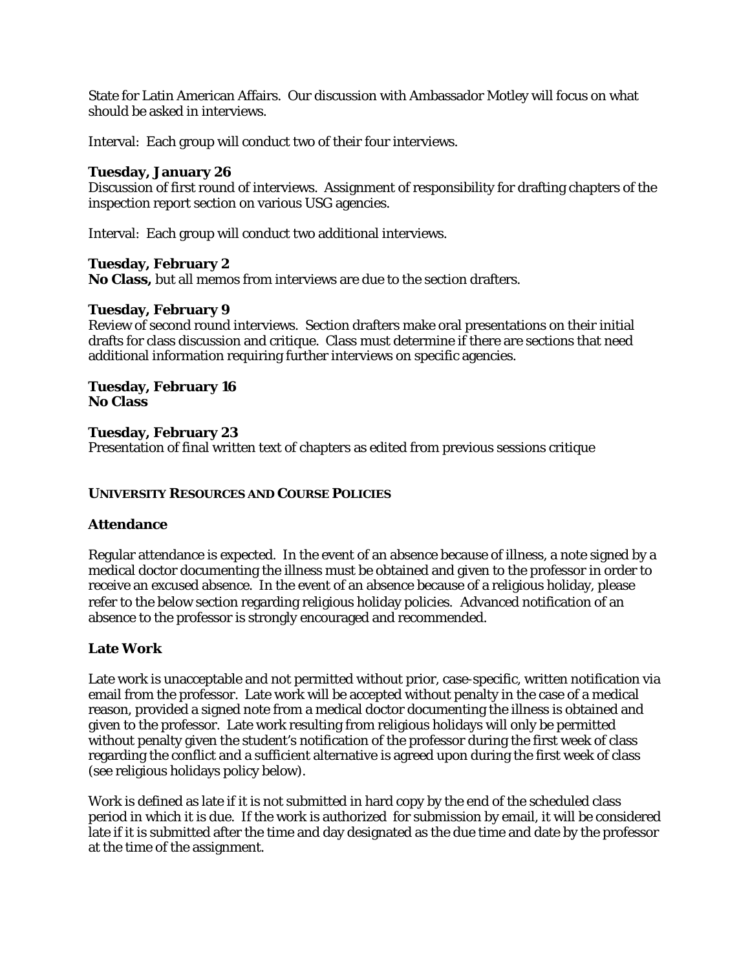State for Latin American Affairs. Our discussion with Ambassador Motley will focus on what should be asked in interviews.

Interval: Each group will conduct two of their four interviews.

## **Tuesday, January 26**

Discussion of first round of interviews. Assignment of responsibility for drafting chapters of the inspection report section on various USG agencies.

Interval: Each group will conduct two additional interviews.

## **Tuesday, February 2**

**No Class,** but all memos from interviews are due to the section drafters.

## **Tuesday, February 9**

Review of second round interviews. Section drafters make oral presentations on their initial drafts for class discussion and critique. Class must determine if there are sections that need additional information requiring further interviews on specific agencies.

#### **Tuesday, February 16 No Class**

## **Tuesday, February 23**

Presentation of final written text of chapters as edited from previous sessions critique

## **UNIVERSITY RESOURCES AND COURSE POLICIES**

### **Attendance**

Regular attendance is expected. In the event of an absence because of illness, a note signed by a medical doctor documenting the illness must be obtained and given to the professor in order to receive an excused absence. In the event of an absence because of a religious holiday, please refer to the below section regarding religious holiday policies. Advanced notification of an absence to the professor is strongly encouraged and recommended.

## **Late Work**

Late work is unacceptable and not permitted without prior, case-specific, written notification via email from the professor. Late work will be accepted without penalty in the case of a medical reason, provided a signed note from a medical doctor documenting the illness is obtained and given to the professor. Late work resulting from religious holidays will only be permitted without penalty given the student's notification of the professor during the first week of class regarding the conflict and a sufficient alternative is agreed upon during the first week of class (see religious holidays policy below).

Work is defined as late if it is not submitted in hard copy by the end of the scheduled class period in which it is due. If the work is authorized for submission by email, it will be considered late if it is submitted after the time and day designated as the due time and date by the professor at the time of the assignment.